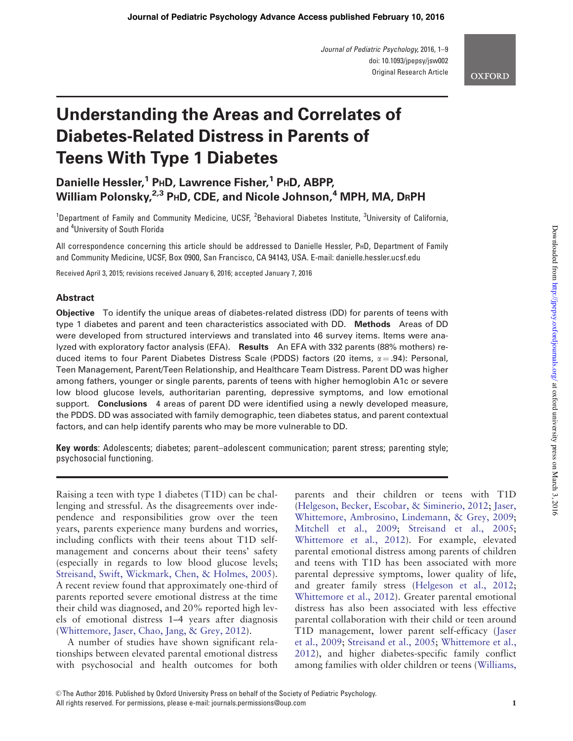Journal of Pediatric Psychology, 2016, 1–9 doi: 10.1093/jpepsy/jsw002 Original Research Article

**OXFORD** 

# Understanding the Areas and Correlates of Diabetes-Related Distress in Parents of Teens With Type 1 Diabetes

Danielle Hessler,<sup>1</sup> PHD, Lawrence Fisher,<sup>1</sup> PHD, ABPP, William Polonsky, $2,3$  PHD, CDE, and Nicole Johnson, $4$  MPH, MA, DRPH

<sup>1</sup>Department of Family and Community Medicine, UCSF, <sup>2</sup>Behavioral Diabetes Institute, <sup>3</sup>University of California, and <sup>4</sup> University of South Florida

All correspondence concerning this article should be addressed to Danielle Hessler, PHD, Department of Family and Community Medicine, UCSF, Box 0900, San Francisco, CA 94143, USA. E-mail: danielle.hessler.ucsf.edu

Received April 3, 2015; revisions received January 6, 2016; accepted January 7, 2016

## Abstract

Objective To identify the unique areas of diabetes-related distress (DD) for parents of teens with type 1 diabetes and parent and teen characteristics associated with DD. Methods Areas of DD were developed from structured interviews and translated into 46 survey items. Items were analyzed with exploratory factor analysis (EFA). Results An EFA with 332 parents (88% mothers) reduced items to four Parent Diabetes Distress Scale (PDDS) factors (20 items,  $\alpha = .94$ ): Personal, Teen Management, Parent/Teen Relationship, and Healthcare Team Distress. Parent DD was higher among fathers, younger or single parents, parents of teens with higher hemoglobin A1c or severe low blood glucose levels, authoritarian parenting, depressive symptoms, and low emotional support. **Conclusions** 4 areas of parent DD were identified using a newly developed measure, the PDDS. DD was associated with family demographic, teen diabetes status, and parent contextual factors, and can help identify parents who may be more vulnerable to DD.

Key words: Adolescents; diabetes; parent–adolescent communication; parent stress; parenting style; psychosocial functioning.

Raising a teen with type 1 diabetes (T1D) can be challenging and stressful. As the disagreements over independence and responsibilities grow over the teen years, parents experience many burdens and worries, including conflicts with their teens about T1D selfmanagement and concerns about their teens' safety (especially in regards to low blood glucose levels; Streisand, Swift, Wickmark, Chen, & Holmes, 2005). A recent review found that approximately one-third of parents reported severe emotional distress at the time their child was diagnosed, and 20% reported high levels of emotional distress 1–4 years after diagnosis (Whittemore, Jaser, Chao, Jang, & Grey, 2012).

A number of studies have shown significant relationships between elevated parental emotional distress with psychosocial and health outcomes for both parents and their children or teens with T1D (Helgeson, Becker, Escobar, & Siminerio, 2012; Jaser, Whittemore, Ambrosino, Lindemann, & Grey, 2009; Mitchell et al., 2009; Streisand et al., 2005; Whittemore et al., 2012). For example, elevated parental emotional distress among parents of children and teens with T1D has been associated with more parental depressive symptoms, lower quality of life, and greater family stress (Helgeson et al., 2012; Whittemore et al., 2012). Greater parental emotional distress has also been associated with less effective parental collaboration with their child or teen around T1D management, lower parent self-efficacy (Jaser et al., 2009; Streisand et al., 2005; Whittemore et al., 2012), and higher diabetes-specific family conflict among families with older children or teens (Williams,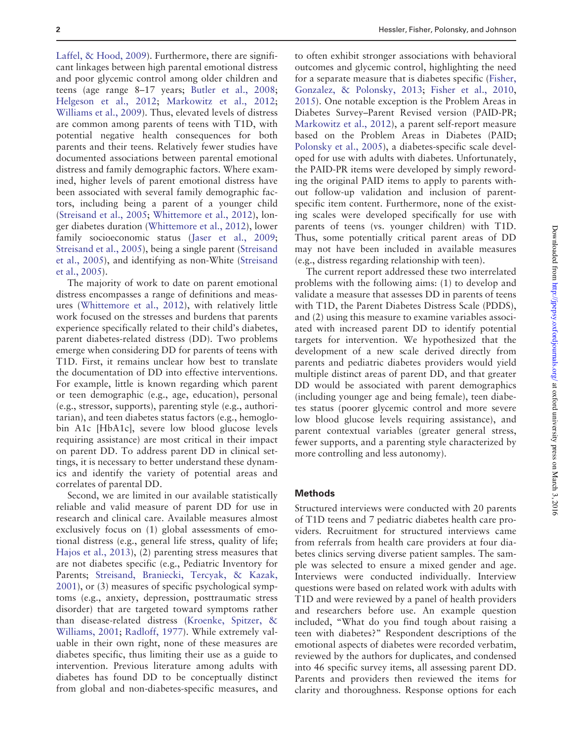Laffel, & Hood, 2009). Furthermore, there are significant linkages between high parental emotional distress and poor glycemic control among older children and teens (age range 8–17 years; Butler et al., 2008; Helgeson et al., 2012; Markowitz et al., 2012; Williams et al., 2009). Thus, elevated levels of distress are common among parents of teens with T1D, with potential negative health consequences for both parents and their teens. Relatively fewer studies have documented associations between parental emotional distress and family demographic factors. Where examined, higher levels of parent emotional distress have been associated with several family demographic factors, including being a parent of a younger child (Streisand et al., 2005; Whittemore et al., 2012), longer diabetes duration (Whittemore et al., 2012), lower family socioeconomic status (Jaser et al., 2009; Streisand et al., 2005), being a single parent (Streisand et al., 2005), and identifying as non-White (Streisand et al., 2005).

The majority of work to date on parent emotional distress encompasses a range of definitions and measures (Whittemore et al., 2012), with relatively little work focused on the stresses and burdens that parents experience specifically related to their child's diabetes, parent diabetes-related distress (DD). Two problems emerge when considering DD for parents of teens with T1D. First, it remains unclear how best to translate the documentation of DD into effective interventions. For example, little is known regarding which parent or teen demographic (e.g., age, education), personal (e.g., stressor, supports), parenting style (e.g., authoritarian), and teen diabetes status factors (e.g., hemoglobin A1c [HbA1c], severe low blood glucose levels requiring assistance) are most critical in their impact on parent DD. To address parent DD in clinical settings, it is necessary to better understand these dynamics and identify the variety of potential areas and correlates of parental DD.

Second, we are limited in our available statistically reliable and valid measure of parent DD for use in research and clinical care. Available measures almost exclusively focus on (1) global assessments of emotional distress (e.g., general life stress, quality of life; Hajos et al., 2013), (2) parenting stress measures that are not diabetes specific (e.g., Pediatric Inventory for Parents; Streisand, Braniecki, Tercyak, & Kazak, 2001), or (3) measures of specific psychological symptoms (e.g., anxiety, depression, posttraumatic stress disorder) that are targeted toward symptoms rather than disease-related distress (Kroenke, Spitzer, & Williams, 2001; Radloff, 1977). While extremely valuable in their own right, none of these measures are diabetes specific, thus limiting their use as a guide to intervention. Previous literature among adults with diabetes has found DD to be conceptually distinct from global and non-diabetes-specific measures, and to often exhibit stronger associations with behavioral outcomes and glycemic control, highlighting the need for a separate measure that is diabetes specific (Fisher, Gonzalez, & Polonsky, 2013; Fisher et al., 2010, 2015). One notable exception is the Problem Areas in Diabetes Survey–Parent Revised version (PAID-PR; Markowitz et al., 2012), a parent self-report measure based on the Problem Areas in Diabetes (PAID; Polonsky et al., 2005), a diabetes-specific scale developed for use with adults with diabetes. Unfortunately, the PAID-PR items were developed by simply rewording the original PAID items to apply to parents without follow-up validation and inclusion of parentspecific item content. Furthermore, none of the existing scales were developed specifically for use with parents of teens (vs. younger children) with T1D. Thus, some potentially critical parent areas of DD may not have been included in available measures (e.g., distress regarding relationship with teen).

The current report addressed these two interrelated problems with the following aims: (1) to develop and validate a measure that assesses DD in parents of teens with T1D, the Parent Diabetes Distress Scale (PDDS), and (2) using this measure to examine variables associated with increased parent DD to identify potential targets for intervention. We hypothesized that the development of a new scale derived directly from parents and pediatric diabetes providers would yield multiple distinct areas of parent DD, and that greater DD would be associated with parent demographics (including younger age and being female), teen diabetes status (poorer glycemic control and more severe low blood glucose levels requiring assistance), and parent contextual variables (greater general stress, fewer supports, and a parenting style characterized by more controlling and less autonomy).

#### Methods

Structured interviews were conducted with 20 parents of T1D teens and 7 pediatric diabetes health care providers. Recruitment for structured interviews came from referrals from health care providers at four diabetes clinics serving diverse patient samples. The sample was selected to ensure a mixed gender and age. Interviews were conducted individually. Interview questions were based on related work with adults with T1D and were reviewed by a panel of health providers and researchers before use. An example question included, "What do you find tough about raising a teen with diabetes?" Respondent descriptions of the emotional aspects of diabetes were recorded verbatim, reviewed by the authors for duplicates, and condensed into 46 specific survey items, all assessing parent DD. Parents and providers then reviewed the items for clarity and thoroughness. Response options for each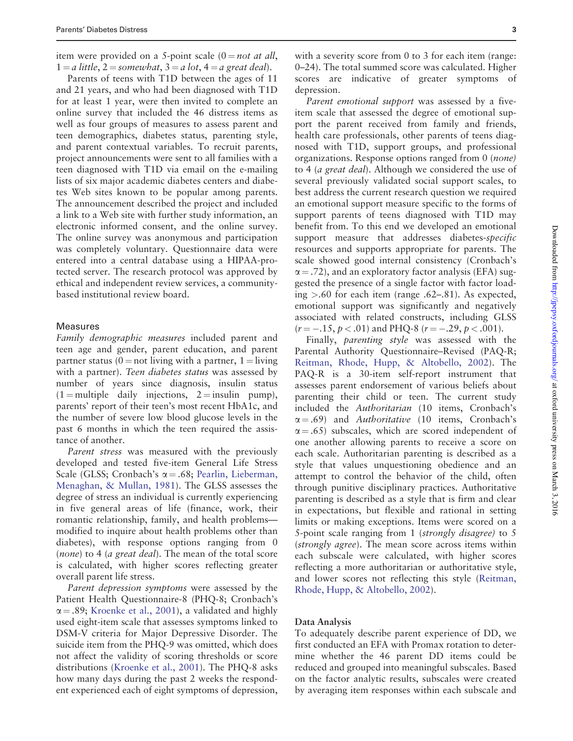item were provided on a 5-point scale  $(0 = not at all,$  $1 = a$  little,  $2 =$ somewhat,  $3 = a$  lot,  $4 = a$  great deal).

Parents of teens with T1D between the ages of 11 and 21 years, and who had been diagnosed with T1D for at least 1 year, were then invited to complete an online survey that included the 46 distress items as well as four groups of measures to assess parent and teen demographics, diabetes status, parenting style, and parent contextual variables. To recruit parents, project announcements were sent to all families with a teen diagnosed with T1D via email on the e-mailing lists of six major academic diabetes centers and diabetes Web sites known to be popular among parents. The announcement described the project and included a link to a Web site with further study information, an electronic informed consent, and the online survey. The online survey was anonymous and participation was completely voluntary. Questionnaire data were entered into a central database using a HIPAA-protected server. The research protocol was approved by ethical and independent review services, a communitybased institutional review board.

#### **Measures**

Family demographic measures included parent and teen age and gender, parent education, and parent partner status (0 = not living with a partner, 1 = living with a partner). Teen diabetes status was assessed by number of years since diagnosis, insulin status  $(1 = \text{multiple daily injections}, 2 = \text{insulin pump}),$ parents' report of their teen's most recent HbA1c, and the number of severe low blood glucose levels in the past 6 months in which the teen required the assistance of another.

Parent stress was measured with the previously developed and tested five-item General Life Stress Scale (GLSS; Cronbach's  $\alpha$  = .68; Pearlin, Lieberman, Menaghan, & Mullan, 1981). The GLSS assesses the degree of stress an individual is currently experiencing in five general areas of life (finance, work, their romantic relationship, family, and health problems modified to inquire about health problems other than diabetes), with response options ranging from 0 (*none*) to 4 (*a great deal*). The mean of the total score is calculated, with higher scores reflecting greater overall parent life stress.

Parent depression symptoms were assessed by the Patient Health Questionnaire-8 (PHQ-8; Cronbach's  $\alpha = .89$ ; Kroenke et al., 2001), a validated and highly used eight-item scale that assesses symptoms linked to DSM-V criteria for Major Depressive Disorder. The suicide item from the PHQ-9 was omitted, which does not affect the validity of scoring thresholds or score distributions (Kroenke et al., 2001). The PHQ-8 asks how many days during the past 2 weeks the respondent experienced each of eight symptoms of depression, with a severity score from 0 to 3 for each item (range: 0–24). The total summed score was calculated. Higher scores are indicative of greater symptoms of depression.

Parent emotional support was assessed by a fiveitem scale that assessed the degree of emotional support the parent received from family and friends, health care professionals, other parents of teens diagnosed with T1D, support groups, and professional organizations. Response options ranged from 0 (none) to 4 (a great deal). Although we considered the use of several previously validated social support scales, to best address the current research question we required an emotional support measure specific to the forms of support parents of teens diagnosed with T1D may benefit from. To this end we developed an emotional support measure that addresses diabetes-specific resources and supports appropriate for parents. The scale showed good internal consistency (Cronbach's  $\alpha = .72$ ), and an exploratory factor analysis (EFA) suggested the presence of a single factor with factor loading  $> 0.60$  for each item (range  $.62-0.81$ ). As expected, emotional support was significantly and negatively associated with related constructs, including GLSS  $(r = -.15, p < .01)$  and PHQ-8  $(r = -.29, p < .001)$ .

Finally, parenting style was assessed with the Parental Authority Questionnaire–Revised (PAQ-R; Reitman, Rhode, Hupp, & Altobello, 2002). The PAQ-R is a 30-item self-report instrument that assesses parent endorsement of various beliefs about parenting their child or teen. The current study included the Authoritarian (10 items, Cronbach's  $\alpha = .69$ ) and *Authoritative* (10 items, Cronbach's  $\alpha = .65$ ) subscales, which are scored independent of one another allowing parents to receive a score on each scale. Authoritarian parenting is described as a style that values unquestioning obedience and an attempt to control the behavior of the child, often through punitive disciplinary practices. Authoritative parenting is described as a style that is firm and clear in expectations, but flexible and rational in setting limits or making exceptions. Items were scored on a 5-point scale ranging from 1 (strongly disagree) to 5 (strongly agree). The mean score across items within each subscale were calculated, with higher scores reflecting a more authoritarian or authoritative style, and lower scores not reflecting this style (Reitman, Rhode, Hupp, & Altobello, 2002).

# Data Analysis

To adequately describe parent experience of DD, we first conducted an EFA with Promax rotation to determine whether the 46 parent DD items could be reduced and grouped into meaningful subscales. Based on the factor analytic results, subscales were created by averaging item responses within each subscale and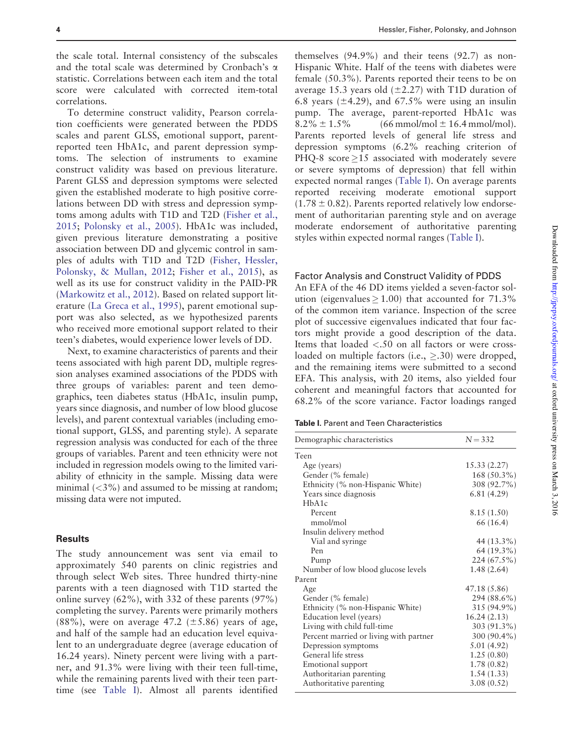the scale total. Internal consistency of the subscales and the total scale was determined by Cronbach's  $\alpha$ statistic. Correlations between each item and the total score were calculated with corrected item-total correlations.

To determine construct validity, Pearson correlation coefficients were generated between the PDDS scales and parent GLSS, emotional support, parentreported teen HbA1c, and parent depression symptoms. The selection of instruments to examine construct validity was based on previous literature. Parent GLSS and depression symptoms were selected given the established moderate to high positive correlations between DD with stress and depression symptoms among adults with T1D and T2D (Fisher et al., 2015; Polonsky et al., 2005). HbA1c was included, given previous literature demonstrating a positive association between DD and glycemic control in samples of adults with T1D and T2D (Fisher, Hessler, Polonsky, & Mullan, 2012; Fisher et al., 2015), as well as its use for construct validity in the PAID-PR (Markowitz et al., 2012). Based on related support literature (La Greca et al., 1995), parent emotional support was also selected, as we hypothesized parents who received more emotional support related to their teen's diabetes, would experience lower levels of DD.

Next, to examine characteristics of parents and their teens associated with high parent DD, multiple regression analyses examined associations of the PDDS with three groups of variables: parent and teen demographics, teen diabetes status (HbA1c, insulin pump, years since diagnosis, and number of low blood glucose levels), and parent contextual variables (including emotional support, GLSS, and parenting style). A separate regression analysis was conducted for each of the three groups of variables. Parent and teen ethnicity were not included in regression models owing to the limited variability of ethnicity in the sample. Missing data were minimal  $\left( \langle 3\% \rangle \right)$  and assumed to be missing at random; missing data were not imputed.

### **Results**

The study announcement was sent via email to approximately 540 parents on clinic registries and through select Web sites. Three hundred thirty-nine parents with a teen diagnosed with T1D started the online survey  $(62\%)$ , with 332 of these parents  $(97\%)$ completing the survey. Parents were primarily mothers  $(88\%)$ , were on average 47.2 ( $\pm$ 5.86) years of age, and half of the sample had an education level equivalent to an undergraduate degree (average education of 16.24 years). Ninety percent were living with a partner, and 91.3% were living with their teen full-time, while the remaining parents lived with their teen parttime (see Table I). Almost all parents identified themselves (94.9%) and their teens (92.7) as non-Hispanic White. Half of the teens with diabetes were female (50.3%). Parents reported their teens to be on average 15.3 years old  $(\pm 2.27)$  with T1D duration of 6.8 years ( $\pm$ 4.29), and 67.5% were using an insulin pump. The average, parent-reported HbA1c was  $8.2\% \pm 1.5\%$  (66 mmol/mol  $\pm 16.4$  mmol/mol). Parents reported levels of general life stress and depression symptoms (6.2% reaching criterion of PHQ-8 score  $\geq$ 15 associated with moderately severe or severe symptoms of depression) that fell within expected normal ranges (Table I). On average parents reported receiving moderate emotional support  $(1.78 \pm 0.82)$ . Parents reported relatively low endorsement of authoritarian parenting style and on average moderate endorsement of authoritative parenting styles within expected normal ranges (Table I).

## Factor Analysis and Construct Validity of PDDS

An EFA of the 46 DD items yielded a seven-factor solution (eigenvalues  $\geq 1.00$ ) that accounted for 71.3% of the common item variance. Inspection of the scree plot of successive eigenvalues indicated that four factors might provide a good description of the data. Items that loaded <.50 on all factors or were crossloaded on multiple factors (i.e.,  $\geq$ .30) were dropped, and the remaining items were submitted to a second EFA. This analysis, with 20 items, also yielded four coherent and meaningful factors that accounted for 68.2% of the score variance. Factor loadings ranged

| <b>Table I.</b> Parent and Teen Characteristics |
|-------------------------------------------------|
|                                                 |

| Demographic characteristics            | $N = 332$     |
|----------------------------------------|---------------|
| Teen                                   |               |
| Age (years)                            | 15.33(2.27)   |
| Gender (% female)                      | $168(50.3\%)$ |
| Ethnicity (% non-Hispanic White)       | 308 (92.7%)   |
| Years since diagnosis                  | 6.81(4.29)    |
| HbA1c                                  |               |
| Percent                                | 8.15 (1.50)   |
| mmol/mol                               | 66 (16.4)     |
| Insulin delivery method                |               |
| Vial and syringe                       | 44 $(13.3\%)$ |
| Pen                                    | 64 (19.3%)    |
| Pump                                   | $224(67.5\%)$ |
| Number of low blood glucose levels     | 1.48(2.64)    |
| Parent                                 |               |
| Age                                    | 47.18 (5.86)  |
| Gender (% female)                      | 294 (88.6%)   |
| Ethnicity (% non-Hispanic White)       | 315 (94.9%)   |
| Education level (years)                | 16.24(2.13)   |
| Living with child full-time            | 303 (91.3%)   |
| Percent married or living with partner | $300(90.4\%)$ |
| Depression symptoms                    | 5.01(4.92)    |
| General life stress                    | 1.25(0.80)    |
| Emotional support                      | 1.78(0.82)    |
| Authoritarian parenting                | 1.54(1.33)    |
| Authoritative parenting                | 3.08(0.52)    |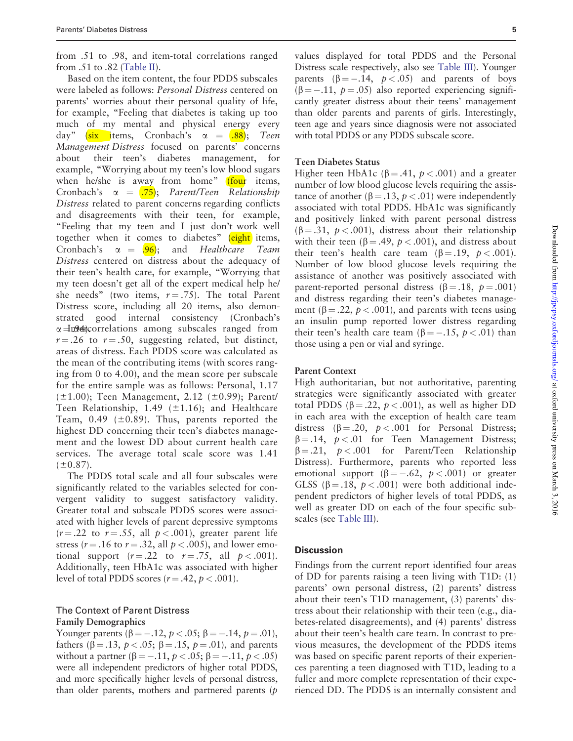from .51 to .98, and item-total correlations ranged from .51 to .82 (Table II).

Based on the item content, the four PDDS subscales were labeled as follows: Personal Distress centered on parents' worries about their personal quality of life, for example, "Feeling that diabetes is taking up too much of my mental and physical energy every day" (six items, Cronbach's  $\alpha = .88$ ); Teen Management Distress focused on parents' concerns about their teen's diabetes management, for example, "Worrying about my teen's low blood sugars when he/she is away from home"  $(four$  items, Cronbach's  $\alpha = .75$ ; Parent/Teen Relationship Distress related to parent concerns regarding conflicts and disagreements with their teen, for example, "Feeling that my teen and I just don't work well together when it comes to diabetes" (eight items, Cronbach's  $\alpha = .96$ ; and Healthcare Team Distress centered on distress about the adequacy of their teen's health care, for example, "Worrying that my teen doesn't get all of the expert medical help he/ she needs" (two items,  $r = .75$ ). The total Parent Distress score, including all 20 items, also demonstrated good internal consistency (Cronbach's  $\alpha = \frac{1}{2}$   $\frac{1}{2}$  and  $\frac{1}{2}$  among subscales ranged from  $r = .26$  to  $r = .50$ , suggesting related, but distinct, areas of distress. Each PDDS score was calculated as the mean of the contributing items (with scores ranging from 0 to 4.00), and the mean score per subscale for the entire sample was as follows: Personal, 1.17  $(\pm 1.00)$ ; Teen Management, 2.12 ( $\pm 0.99$ ); Parent/ Teen Relationship, 1.49 ( $\pm$ 1.16); and Healthcare Team, 0.49 ( $\pm$ 0.89). Thus, parents reported the highest DD concerning their teen's diabetes management and the lowest DD about current health care services. The average total scale score was 1.41  $(\pm 0.87)$ .

The PDDS total scale and all four subscales were significantly related to the variables selected for convergent validity to suggest satisfactory validity. Greater total and subscale PDDS scores were associated with higher levels of parent depressive symptoms  $(r = .22$  to  $r = .55$ , all  $p < .001$ ), greater parent life stress ( $r = .16$  to  $r = .32$ , all  $p < .005$ ), and lower emotional support  $(r=.22)$  to  $r=.75$ , all  $p < .001$ ). Additionally, teen HbA1c was associated with higher level of total PDDS scores ( $r = .42, p < .001$ ).

# The Context of Parent Distress Family Demographics

Younger parents  $(\beta = -.12, p < .05; \beta = -.14, p = .01)$ , fathers ( $\beta = .13$ ,  $p < .05$ ;  $\beta = .15$ ,  $p = .01$ ), and parents without a partner ( $\beta = -.11, p < .05$ ;  $\beta = -.11, p < .05$ ) were all independent predictors of higher total PDDS, and more specifically higher levels of personal distress, than older parents, mothers and partnered parents (p values displayed for total PDDS and the Personal Distress scale respectively, also see Table III). Younger parents  $(\beta = -.14, p < .05)$  and parents of boys  $(\beta = -.11, p = .05)$  also reported experiencing significantly greater distress about their teens' management than older parents and parents of girls. Interestingly, teen age and years since diagnosis were not associated with total PDDS or any PDDS subscale score.

## Teen Diabetes Status

Higher teen HbA1c ( $\beta$  = .41,  $p$  < .001) and a greater number of low blood glucose levels requiring the assistance of another ( $\beta = .13$ ,  $p < .01$ ) were independently associated with total PDDS. HbA1c was significantly and positively linked with parent personal distress  $(\beta = .31, p < .001)$ , distress about their relationship with their teen ( $\beta = .49$ ,  $p < .001$ ), and distress about their teen's health care team  $(\beta = .19, p < .001)$ . Number of low blood glucose levels requiring the assistance of another was positively associated with parent-reported personal distress  $(\beta = .18, p = .001)$ and distress regarding their teen's diabetes management ( $\beta = .22$ ,  $p < .001$ ), and parents with teens using an insulin pump reported lower distress regarding their teen's health care team ( $\beta = -.15$ ,  $p < .01$ ) than those using a pen or vial and syringe.

## Parent Context

High authoritarian, but not authoritative, parenting strategies were significantly associated with greater total PDDS ( $\beta = .22$ ,  $p < .001$ ), as well as higher DD in each area with the exception of health care team distress  $(\beta = .20, p < .001$  for Personal Distress;  $\beta = .14$ ,  $p < .01$  for Teen Management Distress;  $\beta = .21$ ,  $p < .001$  for Parent/Teen Relationship Distress). Furthermore, parents who reported less emotional support ( $\beta = -.62$ ,  $p < .001$ ) or greater GLSS ( $\beta = .18$ ,  $p < .001$ ) were both additional independent predictors of higher levels of total PDDS, as well as greater DD on each of the four specific subscales (see Table III).

#### **Discussion**

Findings from the current report identified four areas of DD for parents raising a teen living with T1D: (1) parents' own personal distress, (2) parents' distress about their teen's T1D management, (3) parents' distress about their relationship with their teen (e.g., diabetes-related disagreements), and (4) parents' distress about their teen's health care team. In contrast to previous measures, the development of the PDDS items was based on specific parent reports of their experiences parenting a teen diagnosed with T1D, leading to a fuller and more complete representation of their experienced DD. The PDDS is an internally consistent and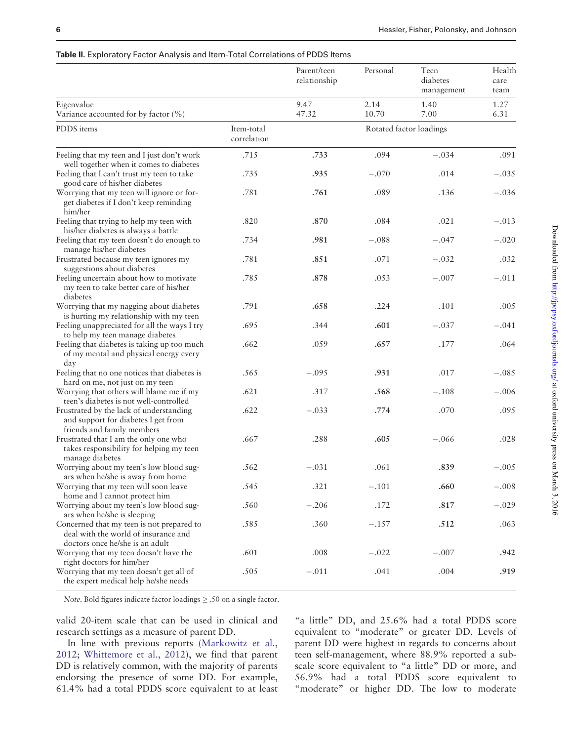|                                                                                                                      |                           | Parent/teen<br>relationship | Personal                | Teen<br>diabetes<br>management | Health<br>care<br>team |
|----------------------------------------------------------------------------------------------------------------------|---------------------------|-----------------------------|-------------------------|--------------------------------|------------------------|
| Eigenvalue<br>Variance accounted for by factor (%)                                                                   |                           | 9.47<br>47.32               | 2.14<br>10.70           | 1.40<br>7.00                   | 1.27<br>6.31           |
| PDDS items                                                                                                           | Item-total<br>correlation |                             | Rotated factor loadings |                                |                        |
| Feeling that my teen and I just don't work<br>well together when it comes to diabetes                                | .715                      | .733                        | .094                    | $-.034$                        | .091                   |
| Feeling that I can't trust my teen to take<br>good care of his/her diabetes                                          | .735                      | .935                        | $-.070$                 | .014                           | $-.035$                |
| Worrying that my teen will ignore or for-<br>get diabetes if I don't keep reminding<br>him/her                       | .781                      | .761                        | .089                    | .136                           | $-.036$                |
| Feeling that trying to help my teen with<br>his/her diabetes is always a battle                                      | .820                      | .870                        | .084                    | .021                           | $-.013$                |
| Feeling that my teen doesn't do enough to<br>manage his/her diabetes                                                 | .734                      | .981                        | $-.088$                 | $-.047$                        | $-.020$                |
| Frustrated because my teen ignores my<br>suggestions about diabetes                                                  | .781                      | .851                        | .071                    | $-.032$                        | .032                   |
| Feeling uncertain about how to motivate<br>my teen to take better care of his/her<br>diabetes                        | .785                      | .878                        | .053                    | $-.007$                        | $-.011$                |
| Worrying that my nagging about diabetes<br>is hurting my relationship with my teen                                   | .791                      | .658                        | .224                    | .101                           | .005                   |
| Feeling unappreciated for all the ways I try<br>to help my teen manage diabetes                                      | .695                      | .344                        | .601                    | $-.037$                        | $-.041$                |
| Feeling that diabetes is taking up too much<br>of my mental and physical energy every<br>day                         | .662                      | .059                        | .657                    | .177                           | .064                   |
| Feeling that no one notices that diabetes is<br>hard on me, not just on my teen                                      | .565                      | $-.095$                     | .931                    | .017                           | $-.085$                |
| Worrying that others will blame me if my<br>teen's diabetes is not well-controlled                                   | .621                      | .317                        | .568                    | $-.108$                        | $-.006$                |
| Frustrated by the lack of understanding<br>and support for diabetes I get from<br>friends and family members         | .622                      | $-.033$                     | .774                    | .070                           | .095                   |
| Frustrated that I am the only one who<br>takes responsibility for helping my teen<br>manage diabetes                 | .667                      | .288                        | .605                    | $-.066$                        | .028                   |
| Worrying about my teen's low blood sug-<br>ars when he/she is away from home                                         | .562                      | $-.031$                     | .061                    | .839                           | $-.005$                |
| Worrying that my teen will soon leave<br>home and I cannot protect him                                               | .545                      | .321                        | $-.101$                 | .660                           | $-.008$                |
| Worrying about my teen's low blood sug-<br>ars when he/she is sleeping                                               | .560                      | $-.206$                     | .172                    | .817                           | $-.029$                |
| Concerned that my teen is not prepared to<br>deal with the world of insurance and<br>doctors once he/she is an adult | .585                      | .360                        | $-.157$                 | .512                           | .063                   |
| Worrying that my teen doesn't have the<br>right doctors for him/her                                                  | .601                      | .008                        | $-.022$                 | $-.007$                        | .942                   |
| Worrying that my teen doesn't get all of<br>the expert medical help he/she needs                                     | .505                      | $-.011$                     | .041                    | .004                           | .919                   |

#### Table II. Exploratory Factor Analysis and Item-Total Correlations of PDDS Items

Note. Bold figures indicate factor loadings  $\geq$  .50 on a single factor.

valid 20-item scale that can be used in clinical and research settings as a measure of parent DD.

In line with previous reports (Markowitz et al., 2012; Whittemore et al., 2012), we find that parent DD is relatively common, with the majority of parents endorsing the presence of some DD. For example, 61.4% had a total PDDS score equivalent to at least "a little" DD, and 25.6% had a total PDDS score equivalent to "moderate" or greater DD. Levels of parent DD were highest in regards to concerns about teen self-management, where 88.9% reported a subscale score equivalent to "a little" DD or more, and 56.9% had a total PDDS score equivalent to "moderate" or higher DD. The low to moderate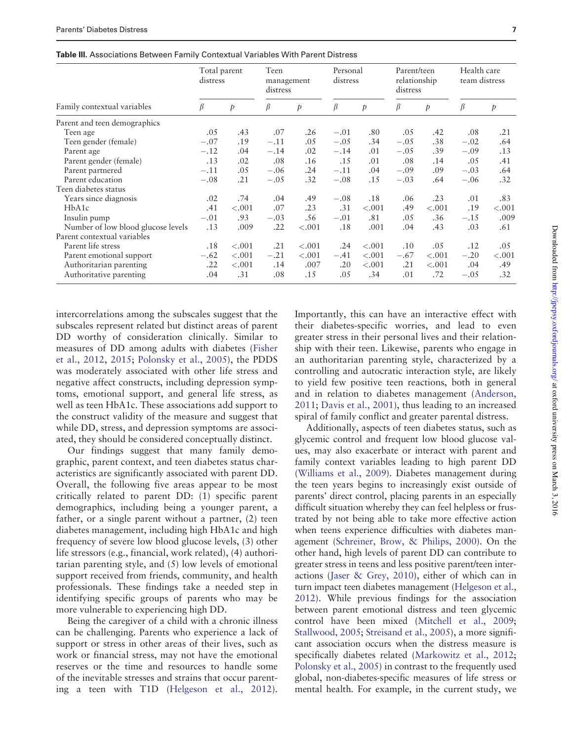| Family contextual variables        | Total parent<br>distress |                  | Teen<br>management<br>distress |               | Personal<br>distress |               | Parent/teen<br>relationship<br>distress |               | Health care<br>team distress |        |
|------------------------------------|--------------------------|------------------|--------------------------------|---------------|----------------------|---------------|-----------------------------------------|---------------|------------------------------|--------|
|                                    | $\beta$                  | $\boldsymbol{p}$ | $\beta$                        | $\mathcal{P}$ | $\beta$              | $\mathcal{P}$ | $\beta$                                 | $\mathcal{P}$ | $\beta$                      | p      |
| Parent and teen demographics       |                          |                  |                                |               |                      |               |                                         |               |                              |        |
| Teen age                           | .05                      | .43              | .07                            | .26           | $-.01$               | .80           | .05                                     | .42           | .08                          | .21    |
| Teen gender (female)               | $-.07$                   | .19              | $-.11$                         | .05           | $-.05$               | .34           | $-.05$                                  | .38           | $-.02$                       | .64    |
| Parent age                         | $-.12$                   | .04              | $-.14$                         | .02           | $-.14$               | .01           | $-.05$                                  | .39           | $-.09$                       | .13    |
| Parent gender (female)             | .13                      | .02              | .08                            | .16           | .15                  | .01           | .08                                     | .14           | .05                          | .41    |
| Parent partnered                   | $-.11$                   | .05              | $-.06$                         | .24           | $-.11$               | .04           | $-.09$                                  | .09           | $-.03$                       | .64    |
| Parent education                   | $-.08$                   | .21              | $-.05$                         | .32           | $-.08$               | .15           | $-.03$                                  | .64           | $-.06$                       | .32    |
| Teen diabetes status               |                          |                  |                                |               |                      |               |                                         |               |                              |        |
| Years since diagnosis              | .02                      | .74              | .04                            | .49           | $-.08$               | .18           | .06                                     | .23           | .01                          | .83    |
| HbA1c                              | .41                      | < .001           | .07                            | .23           | .31                  | < .001        | .49                                     | < .001        | .19                          | < .001 |
| Insulin pump                       | $-.01$                   | .93              | $-.03$                         | .56           | $-.01$               | .81           | .05                                     | .36           | $-.15$                       | .009   |
| Number of low blood glucose levels | .13                      | .009             | .22                            | < .001        | .18                  | .001          | .04                                     | .43           | .03                          | .61    |
| Parent contextual variables        |                          |                  |                                |               |                      |               |                                         |               |                              |        |
| Parent life stress                 | .18                      | < .001           | .21                            | < .001        | .24                  | < .001        | .10                                     | .05           | .12                          | .05    |
| Parent emotional support           | $-.62$                   | < .001           | $-.21$                         | < .001        | $-.41$               | < .001        | $-.67$                                  | < .001        | $-.20$                       | < .001 |
| Authoritarian parenting            | .22                      | < .001           | .14                            | .007          | .20                  | < .001        | .21                                     | < .001        | .04                          | .49    |
| Authoritative parenting            | .04                      | .31              | .08                            | .15           | .05                  | .34           | .01                                     | .72           | $-.05$                       | .32    |

intercorrelations among the subscales suggest that the subscales represent related but distinct areas of parent DD worthy of consideration clinically. Similar to measures of DD among adults with diabetes (Fisher et al., 2012, 2015; Polonsky et al., 2005), the PDDS was moderately associated with other life stress and negative affect constructs, including depression symptoms, emotional support, and general life stress, as well as teen HbA1c. These associations add support to the construct validity of the measure and suggest that while DD, stress, and depression symptoms are associated, they should be considered conceptually distinct.

Our findings suggest that many family demographic, parent context, and teen diabetes status characteristics are significantly associated with parent DD. Overall, the following five areas appear to be most critically related to parent DD: (1) specific parent demographics, including being a younger parent, a father, or a single parent without a partner, (2) teen diabetes management, including high HbA1c and high frequency of severe low blood glucose levels, (3) other life stressors (e.g., financial, work related), (4) authoritarian parenting style, and (5) low levels of emotional support received from friends, community, and health professionals. These findings take a needed step in identifying specific groups of parents who may be more vulnerable to experiencing high DD.

Being the caregiver of a child with a chronic illness can be challenging. Parents who experience a lack of support or stress in other areas of their lives, such as work or financial stress, may not have the emotional reserves or the time and resources to handle some of the inevitable stresses and strains that occur parenting a teen with T1D (Helgeson et al., 2012). Importantly, this can have an interactive effect with their diabetes-specific worries, and lead to even greater stress in their personal lives and their relationship with their teen. Likewise, parents who engage in an authoritarian parenting style, characterized by a controlling and autocratic interaction style, are likely to yield few positive teen reactions, both in general and in relation to diabetes management (Anderson, 2011; Davis et al., 2001), thus leading to an increased spiral of family conflict and greater parental distress.

Additionally, aspects of teen diabetes status, such as glycemic control and frequent low blood glucose values, may also exacerbate or interact with parent and family context variables leading to high parent DD (Williams et al., 2009). Diabetes management during the teen years begins to increasingly exist outside of parents' direct control, placing parents in an especially difficult situation whereby they can feel helpless or frustrated by not being able to take more effective action when teens experience difficulties with diabetes management (Schreiner, Brow, & Philips, 2000). On the other hand, high levels of parent DD can contribute to greater stress in teens and less positive parent/teen interactions (Jaser & Grey, 2010), either of which can in turn impact teen diabetes management (Helgeson et al., 2012). While previous findings for the association between parent emotional distress and teen glycemic control have been mixed (Mitchell et al., 2009; Stallwood, 2005; Streisand et al., 2005), a more significant association occurs when the distress measure is specifically diabetes related (Markowitz et al., 2012; Polonsky et al., 2005) in contrast to the frequently used global, non-diabetes-specific measures of life stress or mental health. For example, in the current study, we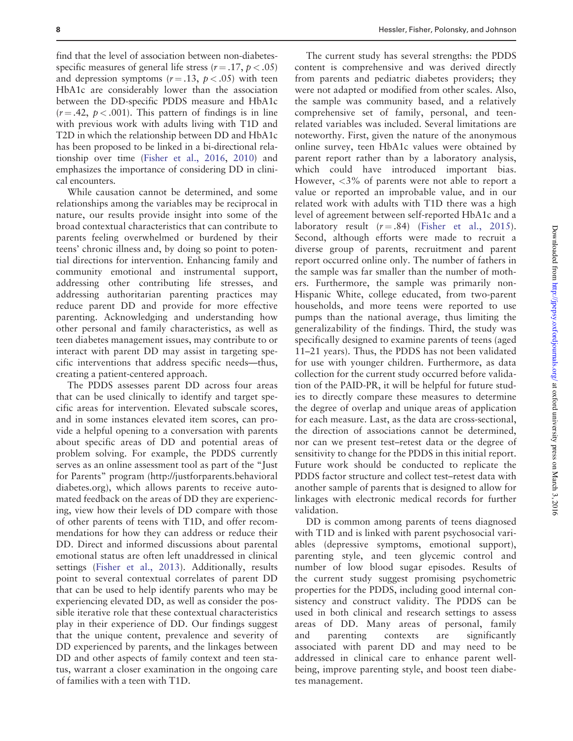find that the level of association between non-diabetesspecific measures of general life stress ( $r = .17$ ,  $p < .05$ ) and depression symptoms  $(r = .13, p < .05)$  with teen HbA1c are considerably lower than the association between the DD-specific PDDS measure and HbA1c  $(r = .42, p < .001)$ . This pattern of findings is in line with previous work with adults living with T1D and T2D in which the relationship between DD and HbA1c has been proposed to be linked in a bi-directional relationship over time (Fisher et al., 2016, 2010) and emphasizes the importance of considering DD in clinical encounters.

While causation cannot be determined, and some relationships among the variables may be reciprocal in nature, our results provide insight into some of the broad contextual characteristics that can contribute to parents feeling overwhelmed or burdened by their teens' chronic illness and, by doing so point to potential directions for intervention. Enhancing family and community emotional and instrumental support, addressing other contributing life stresses, and addressing authoritarian parenting practices may reduce parent DD and provide for more effective parenting. Acknowledging and understanding how other personal and family characteristics, as well as teen diabetes management issues, may contribute to or interact with parent DD may assist in targeting specific interventions that address specific needs—thus, creating a patient-centered approach.

The PDDS assesses parent DD across four areas that can be used clinically to identify and target specific areas for intervention. Elevated subscale scores, and in some instances elevated item scores, can provide a helpful opening to a conversation with parents about specific areas of DD and potential areas of problem solving. For example, the PDDS currently serves as an online assessment tool as part of the "Just for Parents" program (http://justforparents.behavioral diabetes.org), which allows parents to receive automated feedback on the areas of DD they are experiencing, view how their levels of DD compare with those of other parents of teens with T1D, and offer recommendations for how they can address or reduce their DD. Direct and informed discussions about parental emotional status are often left unaddressed in clinical settings (Fisher et al., 2013). Additionally, results point to several contextual correlates of parent DD that can be used to help identify parents who may be experiencing elevated DD, as well as consider the possible iterative role that these contextual characteristics play in their experience of DD. Our findings suggest that the unique content, prevalence and severity of DD experienced by parents, and the linkages between DD and other aspects of family context and teen status, warrant a closer examination in the ongoing care of families with a teen with T1D.

The current study has several strengths: the PDDS content is comprehensive and was derived directly from parents and pediatric diabetes providers; they were not adapted or modified from other scales. Also, the sample was community based, and a relatively comprehensive set of family, personal, and teenrelated variables was included. Several limitations are noteworthy. First, given the nature of the anonymous online survey, teen HbA1c values were obtained by parent report rather than by a laboratory analysis, which could have introduced important bias. However, <3% of parents were not able to report a value or reported an improbable value, and in our related work with adults with T1D there was a high level of agreement between self-reported HbA1c and a laboratory result  $(r=.84)$  (Fisher et al., 2015). Second, although efforts were made to recruit a diverse group of parents, recruitment and parent report occurred online only. The number of fathers in the sample was far smaller than the number of mothers. Furthermore, the sample was primarily non-Hispanic White, college educated, from two-parent households, and more teens were reported to use pumps than the national average, thus limiting the generalizability of the findings. Third, the study was specifically designed to examine parents of teens (aged 11–21 years). Thus, the PDDS has not been validated for use with younger children. Furthermore, as data collection for the current study occurred before validation of the PAID-PR, it will be helpful for future studies to directly compare these measures to determine the degree of overlap and unique areas of application for each measure. Last, as the data are cross-sectional, the direction of associations cannot be determined, nor can we present test–retest data or the degree of sensitivity to change for the PDDS in this initial report. Future work should be conducted to replicate the PDDS factor structure and collect test–retest data with another sample of parents that is designed to allow for linkages with electronic medical records for further validation.

DD is common among parents of teens diagnosed with T1D and is linked with parent psychosocial variables (depressive symptoms, emotional support), parenting style, and teen glycemic control and number of low blood sugar episodes. Results of the current study suggest promising psychometric properties for the PDDS, including good internal consistency and construct validity. The PDDS can be used in both clinical and research settings to assess areas of DD. Many areas of personal, family and parenting contexts are significantly associated with parent DD and may need to be addressed in clinical care to enhance parent wellbeing, improve parenting style, and boost teen diabetes management.